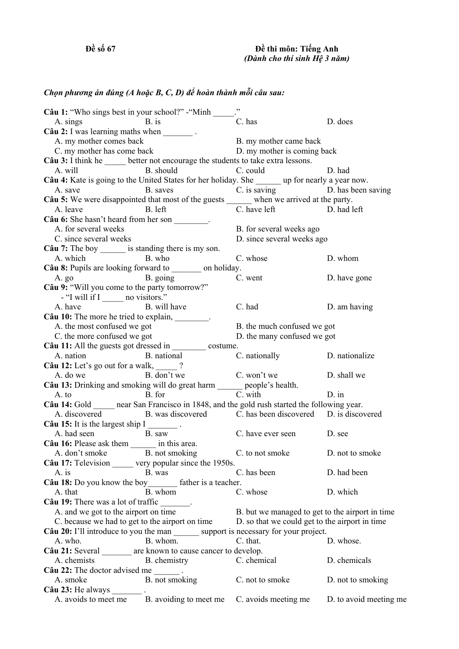## *Chọn phương án đúng (A hoặc B, C, D) để hoàn thành mỗi câu sau:*

| Câu 1: "Who sings best in your school?" - "Minh _______                                                                  |                                                                         |                                                 |                        |
|--------------------------------------------------------------------------------------------------------------------------|-------------------------------------------------------------------------|-------------------------------------------------|------------------------|
| A. sings B. is                                                                                                           |                                                                         | C. has                                          | D. does                |
| A. sings B. is<br>Câu 2: I was learning maths when _________.                                                            |                                                                         |                                                 |                        |
| A. my mother comes back                                                                                                  |                                                                         | B. my mother came back                          |                        |
| C. my mother has come back                                                                                               |                                                                         | D. my mother is coming back                     |                        |
| Câu 3: I think he ______ better not encourage the students to take extra lessons.                                        |                                                                         |                                                 |                        |
|                                                                                                                          | A. will B. should C. could                                              |                                                 | D. had                 |
| Câu 4: Kate is going to the United States for her holiday. She _______ up for nearly a year now.                         |                                                                         |                                                 |                        |
|                                                                                                                          | A save B saves C is saving D has been saving                            |                                                 |                        |
|                                                                                                                          |                                                                         |                                                 |                        |
| <b>Câu 5:</b> We were disappointed that most of the guests when we arrived at the party.<br>A. leave B. left D. had left |                                                                         |                                                 |                        |
| A. leave B. left<br>Câu 6: She hasn't heard from her son ________.                                                       |                                                                         |                                                 |                        |
| A. for several weeks                                                                                                     |                                                                         | B. for several weeks ago                        |                        |
| C. since several weeks                                                                                                   |                                                                         | D. since several weeks ago                      |                        |
| Câu 7: The boy _______ is standing there is my son.                                                                      |                                                                         |                                                 |                        |
|                                                                                                                          | A. which B. who                                                         | C. whose                                        | D. whom                |
| Câu 8: Pupils are looking forward to _______ on holiday.                                                                 |                                                                         |                                                 |                        |
| A. go B. going                                                                                                           |                                                                         | C. went                                         | D. have gone           |
| Câu 9: "Will you come to the party tomorrow?"                                                                            |                                                                         |                                                 |                        |
| - "I will if I _______ no visitors."                                                                                     |                                                                         |                                                 |                        |
| A. have                                                                                                                  | B. will have                                                            | C. had                                          | D. am having           |
| Câu 10: The more he tried to explain, ________.                                                                          |                                                                         |                                                 |                        |
| A. the most confused we got                                                                                              |                                                                         | B. the much confused we got                     |                        |
| C. the more confused we got                                                                                              |                                                                         | D. the many confused we got                     |                        |
| Câu 11: All the guests got dressed in ___________ costume.                                                               |                                                                         |                                                 |                        |
|                                                                                                                          | A. nation B. national C. nationally D. nationalize                      |                                                 |                        |
| <b>Câu 12:</b> Let's go out for a walk, $\frac{1}{2}$ ?<br>A. do we B. don't we C. won't we                              |                                                                         |                                                 |                        |
| A. do we B. don't we<br><b>Câu 13:</b> Drinking and smoking will do great harm people's health.<br>B. for C. with        |                                                                         |                                                 | D. shall we            |
|                                                                                                                          |                                                                         |                                                 |                        |
|                                                                                                                          |                                                                         |                                                 |                        |
| A. to B. for C. with D. in Can 14: Gold entry near San Francisco in 1848, and the gold rush started the following year.  |                                                                         |                                                 |                        |
|                                                                                                                          | A. discovered B. was discovered C. has been discovered D. is discovered |                                                 |                        |
| Câu 15: It is the largest ship $I$ _________.                                                                            |                                                                         |                                                 |                        |
| A. had seen B. saw                                                                                                       |                                                                         | C. have ever seen D. see                        |                        |
| Câu 16: Please ask them _______ in this area.                                                                            |                                                                         |                                                 |                        |
| A. don't smoke B. not smoking C. to not smoke D. not to smoke                                                            |                                                                         |                                                 |                        |
| Câu 17: Television ______ very popular since the 1950s.                                                                  |                                                                         |                                                 |                        |
| A. is                                                                                                                    | B. was                                                                  | C. has been                                     | D. had been            |
| Câu 18: Do you know the boy________ father is a teacher.                                                                 |                                                                         |                                                 |                        |
| A. that                                                                                                                  | B. whom                                                                 | C. whose                                        | D. which               |
| Câu 19: There was a lot of traffic _______.                                                                              |                                                                         |                                                 |                        |
| A. and we got to the airport on time                                                                                     |                                                                         | B. but we managed to get to the airport in time |                        |
| C. because we had to get to the airport on time                                                                          |                                                                         | D. so that we could get to the airport in time  |                        |
| Câu 20: I'll introduce to you the man _______ support is necessary for your project.                                     |                                                                         |                                                 |                        |
| A. who.                                                                                                                  | B. whom.                                                                | C. that.                                        | D. whose.              |
| Câu 21: Several _______ are known to cause cancer to develop.                                                            |                                                                         |                                                 |                        |
| A. chemists                                                                                                              | B. chemistry                                                            | C. chemical                                     | D. chemicals           |
| Câu 22: The doctor advised me $\frac{ }{ }$ .                                                                            |                                                                         |                                                 |                        |
| A. smoke                                                                                                                 | B. not smoking                                                          | C. not to smoke                                 | D. not to smoking      |
| Câu 23: He always _________.                                                                                             |                                                                         |                                                 |                        |
| A. avoids to meet me                                                                                                     | B. avoiding to meet me                                                  | C. avoids meeting me                            | D. to avoid meeting me |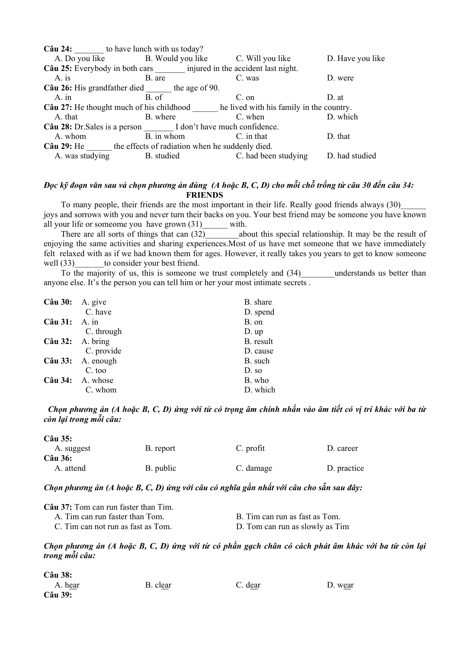|                                                                                          | $C\hat{a}$ <b>u</b> 24: to have lunch with us today?                        |                      |                  |  |
|------------------------------------------------------------------------------------------|-----------------------------------------------------------------------------|----------------------|------------------|--|
|                                                                                          | A. Do you like B. Would you like C. Will you like                           |                      | D. Have you like |  |
|                                                                                          | Câu 25: Everybody in both cars ________ injured in the accident last night. |                      |                  |  |
| $A$ is                                                                                   | B. are                                                                      | C. was               | D. were          |  |
|                                                                                          | Câu 26: His grandfather died the age of 90.                                 |                      |                  |  |
| $A.$ in                                                                                  | B. of                                                                       | $C.$ on              | D. at            |  |
| <b>Câu 27:</b> He thought much of his childhood he lived with his family in the country. |                                                                             |                      |                  |  |
| A. that                                                                                  | B. where                                                                    | C. when              | D. which         |  |
| Câu 28: Dr. Sales is a person I don't have much confidence.                              |                                                                             |                      |                  |  |
| A. whom                                                                                  | B. in whom                                                                  | C. in that           | D. that          |  |
| Câu 29: He the effects of radiation when he suddenly died.                               |                                                                             |                      |                  |  |
| A. was studying                                                                          | B. studied                                                                  | C. had been studying | D. had studied   |  |

## Đọc kỹ đoạn văn sau và chọn phương án đúng (A hoặc B, C, D) cho mỗi chỗ trống từ câu 30 đến câu 34:  **FRIENDS**

To many people, their friends are the most important in their life. Really good friends always (30) joys and sorrows with you and never turn their backs on you. Your best friend may be someone you have known all your life or someome you have grown (31) with.

There are all sorts of things that can  $(32)$  about this special relationship. It may be the result of enjoying the same activities and sharing experiences.Most of us have met someone that we have immediately felt relaxed with as if we had known them for ages. However, it really takes you years to get to know someone well (33) to consider your best friend.

To the majority of us, this is someone we trust completely and (34) understands us better than anyone else. It's the person you can tell him or her your most intimate secrets .

| Câu 30:                  | A. give                  | B. share  |
|--------------------------|--------------------------|-----------|
|                          | C. have                  | D. spend  |
| Câu 31: A. in            |                          | B. on     |
|                          | C. through               | $D.$ up   |
| $C\hat{a}u$ 32: A. bring |                          | B. result |
|                          | C. provide               | D. cause  |
|                          | Câu 33: A. enough        | B. such   |
|                          | C. too                   | D. so     |
|                          | $C\hat{a}u$ 34: A. whose | B. who    |
|                          | C. whom                  | D. which  |

Chon phương án (A hoặc B, C, D) ứng với từ có trong âm chính nhấn vào âm tiết có vi trí khác với ba từ *còn lại trong mỗi câu:* 

| Câu 35:          |           |           |             |
|------------------|-----------|-----------|-------------|
| A. suggest       | B. report | C. profit | D. career   |
| $C\hat{a}$ u 36: |           |           |             |
| A. attend        | B. public | C. damage | D. practice |

## Chọn phương án (A hoặc B, C, D) ứng với câu có nghĩa gần nhất với câu cho sẵn sau đây:

| <b>Câu 37:</b> Tom can run faster than Tim. |                                 |
|---------------------------------------------|---------------------------------|
| A. Tim can run faster than Tom.             | B. Tim can run as fast as Tom.  |
| C. Tim can not run as fast as Tom.          | D. Tom can run as slowly as Tim |

Chọn phương án (A hoặc B, C, D) ứng với từ có phần gạch chân có cách phát âm khác với ba từ còn lại *trong mỗi câu:* 

| Câu 38: |          |         |         |
|---------|----------|---------|---------|
| A. hear | B. clear | C. dear | D. wear |
| Câu 39: |          |         |         |